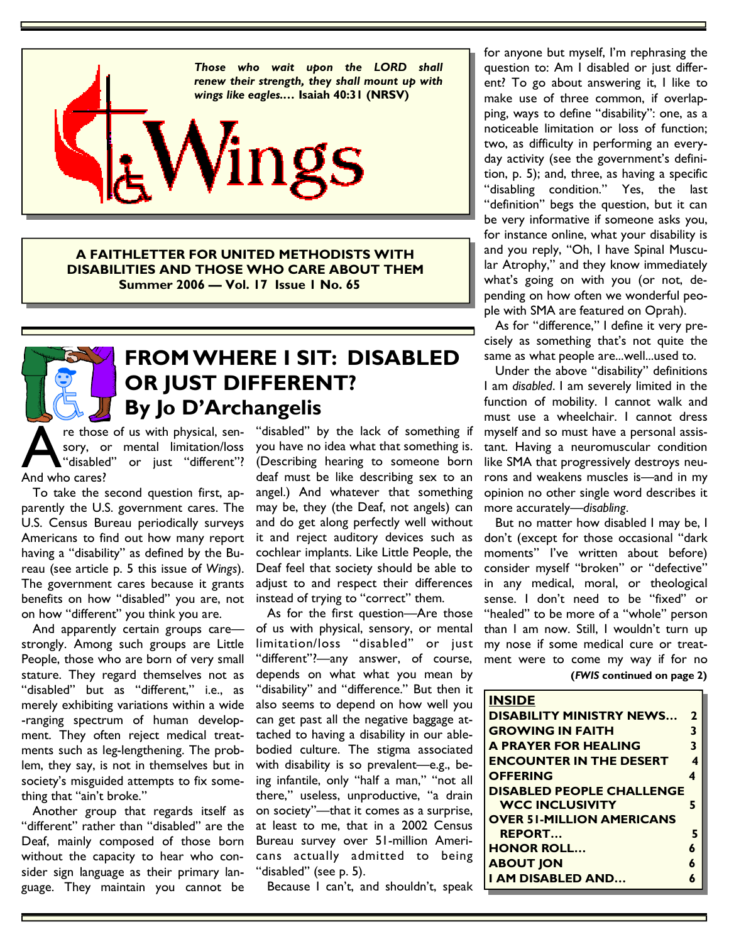

**A FAITHLETTER FOR UNITED METHODISTS WITH DISABILITIES AND THOSE WHO CARE ABOUT THEM Summer 2006 — Vol. 17 Issue 1 No. 65** 



### **FROM WHERE I SIT: DISABLED OR JUST DIFFERENT? By Jo D'Archangelis**

re those of us with physical, sen-<br>sory, or mental limitation/loss<br>"disabled" or iust "different"? sory, or mental limitation/loss or just "different"? And who cares?

 To take the second question first, apparently the U.S. government cares. The U.S. Census Bureau periodically surveys Americans to find out how many report having a "disability" as defined by the Bureau (see article p. 5 this issue of *Wings*). The government cares because it grants benefits on how "disabled" you are, not on how "different" you think you are.

 And apparently certain groups care strongly. Among such groups are Little People, those who are born of very small stature. They regard themselves not as "disabled" but as "different," i.e., as merely exhibiting variations within a wide -ranging spectrum of human development. They often reject medical treatments such as leg-lengthening. The problem, they say, is not in themselves but in society's misguided attempts to fix something that "ain't broke."

 Another group that regards itself as "different" rather than "disabled" are the Deaf, mainly composed of those born without the capacity to hear who consider sign language as their primary language. They maintain you cannot be

"disabled" by the lack of something if you have no idea what that something is. (Describing hearing to someone born deaf must be like describing sex to an angel.) And whatever that something may be, they (the Deaf, not angels) can and do get along perfectly well without it and reject auditory devices such as cochlear implants. Like Little People, the Deaf feel that society should be able to adjust to and respect their differences instead of trying to "correct" them.

 As for the first question—Are those of us with physical, sensory, or mental limitation/loss "disabled" or just "different"?—any answer, of course, depends on what what you mean by "disability" and "difference." But then it also seems to depend on how well you can get past all the negative baggage attached to having a disability in our ablebodied culture. The stigma associated with disability is so prevalent—e.g., being infantile, only "half a man," "not all there," useless, unproductive, "a drain on society"—that it comes as a surprise, at least to me, that in a 2002 Census Bureau survey over 51-million Americans actually admitted to being "disabled" (see p. 5).

Because I can't, and shouldn't, speak

for anyone but myself, I'm rephrasing the question to: Am I disabled or just different? To go about answering it, I like to make use of three common, if overlapping, ways to define "disability": one, as a noticeable limitation or loss of function; two, as difficulty in performing an everyday activity (see the government's definition, p. 5); and, three, as having a specific "disabling condition." Yes, the last "definition" begs the question, but it can be very informative if someone asks you, for instance online, what your disability is and you reply, "Oh, I have Spinal Muscular Atrophy," and they know immediately what's going on with you (or not, depending on how often we wonderful people with SMA are featured on Oprah).

 As for "difference," I define it very precisely as something that's not quite the same as what people are...well...used to.

 Under the above "disability" definitions I am *disabled*. I am severely limited in the function of mobility. I cannot walk and must use a wheelchair. I cannot dress myself and so must have a personal assistant. Having a neuromuscular condition like SMA that progressively destroys neurons and weakens muscles is—and in my opinion no other single word describes it more accurately—*disabling*.

 But no matter how disabled I may be, I don't (except for those occasional "dark moments" I've written about before) consider myself "broken" or "defective" in any medical, moral, or theological sense. I don't need to be "fixed" or "healed" to be more of a "whole" person than I am now. Still, I wouldn't turn up my nose if some medical cure or treatment were to come my way if for no

| (FWIS continued on page 2) |  |  |
|----------------------------|--|--|
|----------------------------|--|--|

| <b>INSIDE</b>                    |   |
|----------------------------------|---|
| <b>DISABILITY MINISTRY NEWS</b>  | 2 |
| <b>GROWING IN FAITH</b>          | 3 |
| <b>A PRAYER FOR HEALING</b>      | 3 |
| <b>ENCOUNTER IN THE DESERT</b>   | 4 |
| <b>OFFERING</b>                  |   |
| <b>DISABLED PEOPLE CHALLENGE</b> |   |
| <b>WCC INCLUSIVITY</b>           | 5 |
| <b>OVER 51-MILLION AMERICANS</b> |   |
| <b>REPORT</b>                    | 5 |
| <b>HONOR ROLL</b>                | 6 |
| <b>ABOUT JON</b>                 |   |
| I AM DISABLED AND                |   |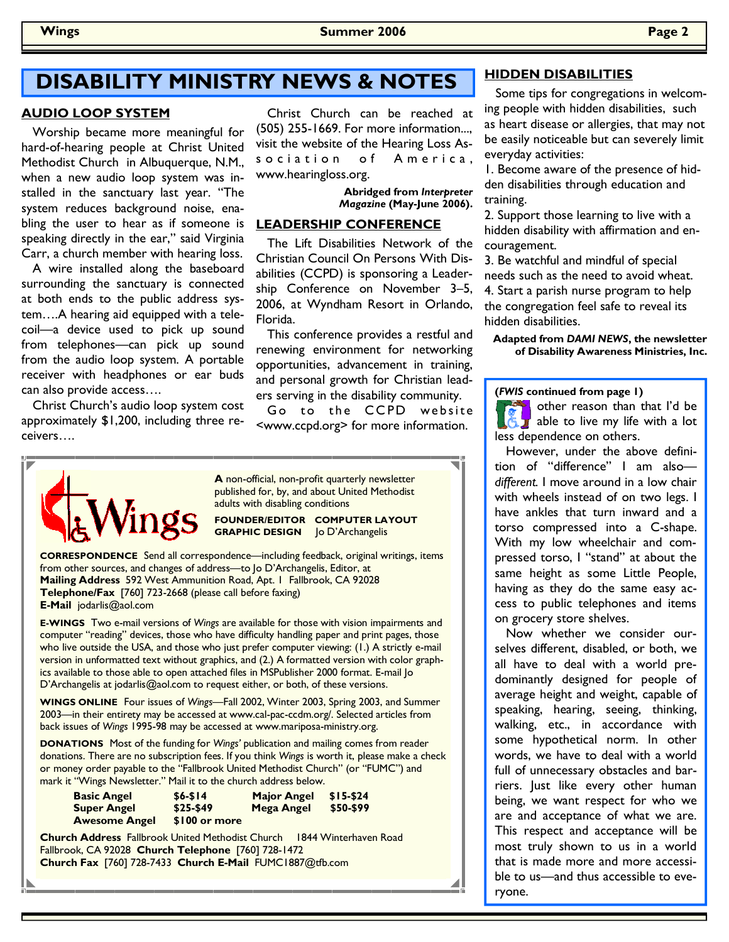## **DISABILITY MINISTRY NEWS & NOTES HIDDEN DISABILITIES**

#### **AUDIO LOOP SYSTEM**

 Worship became more meaningful for hard-of-hearing people at Christ United Methodist Church in Albuquerque, N.M., when a new audio loop system was installed in the sanctuary last year. "The system reduces background noise, enabling the user to hear as if someone is speaking directly in the ear," said Virginia Carr, a church member with hearing loss.

 A wire installed along the baseboard surrounding the sanctuary is connected at both ends to the public address system….A hearing aid equipped with a telecoil—a device used to pick up sound from telephones—can pick up sound from the audio loop system. A portable receiver with headphones or ear buds can also provide access….

 Christ Church's audio loop system cost approximately \$1,200, including three receivers….

 Christ Church can be reached at (505) 255-1669. For more information..., visit the website of the Hearing Loss Association of America, www.hearingloss.org.

> **Abridged from** *Interpreter Magazine* **(May-June 2006).**

#### **LEADERSHIP CONFERENCE**

 The Lift Disabilities Network of the Christian Council On Persons With Disabilities (CCPD) is sponsoring a Leadership Conference on November 3–5, 2006, at Wyndham Resort in Orlando, Florida.

 This conference provides a restful and renewing environment for networking opportunities, advancement in training, and personal growth for Christian leaders serving in the disability community.

Go to the CCPD website <www.ccpd.org> for more information.



**A** non-official, non-profit quarterly newsletter published for, by, and about United Methodist adults with disabling conditions

**FOUNDER/EDITOR COMPUTER LAYOUT GRAPHIC DESIGN** Jo D'Archangelis

**CORRESPONDENCE** Send all correspondence—including feedback, original writings, items from other sources, and changes of address—to Jo D'Archangelis, Editor, at **Mailing Address** 592 West Ammunition Road, Apt. 1 Fallbrook, CA 92028 **Telephone/Fax** [760] 723-2668 (please call before faxing) **E-Mail** jodarlis@aol.com

**E-WINGS** Two e-mail versions of *Wings* are available for those with vision impairments and computer "reading" devices, those who have difficulty handling paper and print pages, those who live outside the USA, and those who just prefer computer viewing: (1.) A strictly e-mail version in unformatted text without graphics, and (2.) A formatted version with color graphics available to those able to open attached files in MSPublisher 2000 format. E-mail Jo D'Archangelis at jodarlis@aol.com to request either, or both, of these versions.

**WINGS ONLINE** Four issues of *Wings—*Fall 2002, Winter 2003, Spring 2003, and Summer 2003—in their entirety may be accessed at www.cal-pac-ccdm.org/. Selected articles from back issues of *Wings* 1995-98 may be accessed at www.mariposa-ministry.org.

**DONATIONS** Most of the funding for *Wings'* publication and mailing comes from reader donations. There are no subscription fees. If you think *Wings* is worth it, please make a check or money order payable to the "Fallbrook United Methodist Church" (or "FUMC") and mark it "Wings Newsletter." Mail it to the church address below.

| <b>Basic Angel</b>   | $$6 - $14$    | <b>Major Angel</b> | \$15-\$24 |
|----------------------|---------------|--------------------|-----------|
| <b>Super Angel</b>   | $$25-$49$     | <b>Mega Angel</b>  | \$50-\$99 |
| <b>Awesome Angel</b> | \$100 or more |                    |           |

**Church Address** Fallbrook United Methodist Church 1844 Winterhaven Road Fallbrook, CA 92028 **Church Telephone** [760] 728-1472 **Church Fax** [760] 728-7433 **Church E-Mail** FUMC1887@tfb.com

 Some tips for congregations in welcoming people with hidden disabilities, such as heart disease or allergies, that may not be easily noticeable but can severely limit everyday activities:

1. Become aware of the presence of hidden disabilities through education and training.

2. Support those learning to live with a hidden disability with affirmation and encouragement.

3. Be watchful and mindful of special needs such as the need to avoid wheat. 4. Start a parish nurse program to help the congregation feel safe to reveal its hidden disabilities.

#### **Adapted from** *DAMI NEWS***, the newsletter of Disability Awareness Ministries, Inc.**

**(***FWIS* **continued from page 1)** 

other reason than that I'd be able to live my life with a lot less dependence on others.

 However, under the above definition of "difference" I am also *different.* I move around in a low chair with wheels instead of on two legs. I have ankles that turn inward and a torso compressed into a C-shape. With my low wheelchair and compressed torso, I "stand" at about the same height as some Little People, having as they do the same easy access to public telephones and items on grocery store shelves.

 Now whether we consider ourselves different, disabled, or both, we all have to deal with a world predominantly designed for people of average height and weight, capable of speaking, hearing, seeing, thinking, walking, etc., in accordance with some hypothetical norm. In other words, we have to deal with a world full of unnecessary obstacles and barriers. Just like every other human being, we want respect for who we are and acceptance of what we are. This respect and acceptance will be most truly shown to us in a world that is made more and more accessible to us—and thus accessible to everyone.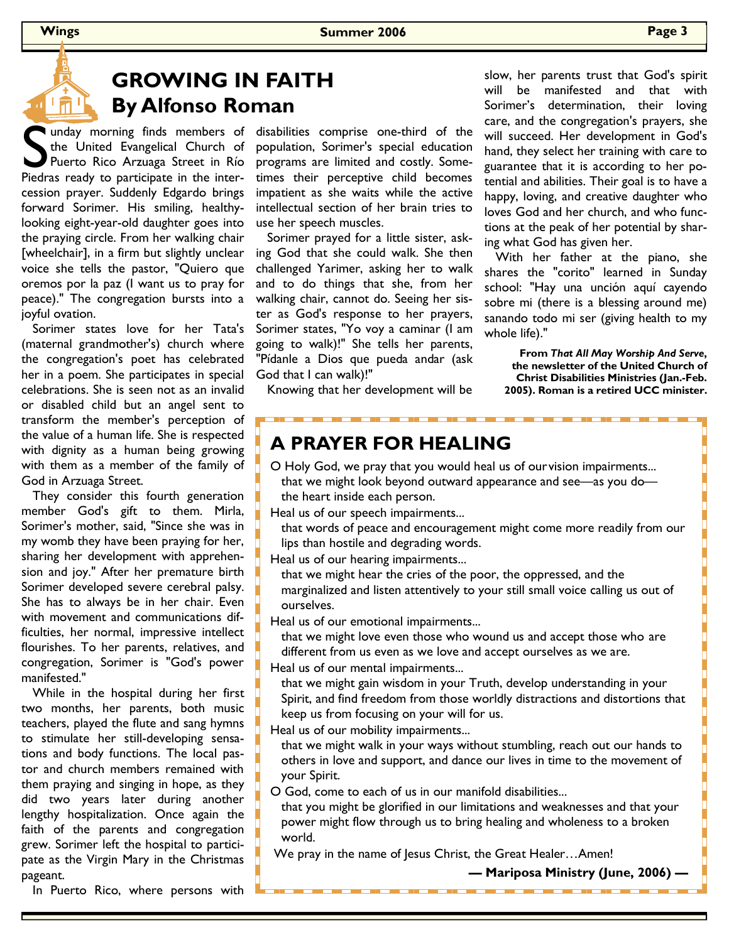## **GROWING IN FAITH By Alfonso Roman**

Inday morning finds members of the United Evangelical Church of Puerto Rico Arzuaga Street in Río Piedras ready to participate in the interthe United Evangelical Church of Puerto Rico Arzuaga Street in Río cession prayer. Suddenly Edgardo brings forward Sorimer. His smiling, healthylooking eight-year-old daughter goes into the praying circle. From her walking chair [wheelchair], in a firm but slightly unclear voice she tells the pastor, "Quiero que oremos por la paz (I want us to pray for peace)." The congregation bursts into a joyful ovation.

 Sorimer states love for her Tata's (maternal grandmother's) church where the congregation's poet has celebrated her in a poem. She participates in special celebrations. She is seen not as an invalid or disabled child but an angel sent to transform the member's perception of the value of a human life. She is respected with dignity as a human being growing with them as a member of the family of God in Arzuaga Street.

 They consider this fourth generation member God's gift to them. Mirla, Sorimer's mother, said, "Since she was in my womb they have been praying for her, sharing her development with apprehension and joy." After her premature birth Sorimer developed severe cerebral palsy. She has to always be in her chair. Even with movement and communications difficulties, her normal, impressive intellect flourishes. To her parents, relatives, and congregation, Sorimer is "God's power manifested."

 While in the hospital during her first two months, her parents, both music teachers, played the flute and sang hymns to stimulate her still-developing sensations and body functions. The local pastor and church members remained with them praying and singing in hope, as they did two years later during another lengthy hospitalization. Once again the faith of the parents and congregation grew. Sorimer left the hospital to participate as the Virgin Mary in the Christmas pageant.

disabilities comprise one-third of the population, Sorimer's special education programs are limited and costly. Sometimes their perceptive child becomes impatient as she waits while the active intellectual section of her brain tries to use her speech muscles.

 Sorimer prayed for a little sister, asking God that she could walk. She then challenged Yarimer, asking her to walk and to do things that she, from her walking chair, cannot do. Seeing her sister as God's response to her prayers, Sorimer states, "Yo voy a caminar (I am going to walk)!" She tells her parents, "Pídanle a Dios que pueda andar (ask God that I can walk)!"

slow, her parents trust that God's spirit will be manifested and that with Sorimer's determination, their loving care, and the congregation's prayers, she will succeed. Her development in God's hand, they select her training with care to guarantee that it is according to her potential and abilities. Their goal is to have a happy, loving, and creative daughter who loves God and her church, and who functions at the peak of her potential by sharing what God has given her.

 With her father at the piano, she shares the "corito" learned in Sunday school: "Hay una unción aquí cayendo sobre mi (there is a blessing around me) sanando todo mi ser (giving health to my whole life)."

**From** *That All May Worship And Serve***, the newsletter of the United Church of Christ Disabilities Ministries (Jan.-Feb. 2005). Roman is a retired UCC minister.** 

Knowing that her development will be

#### **A PRAYER FOR HEALING**

O Holy God, we pray that you would heal us of our vision impairments... that we might look beyond outward appearance and see—as you do the heart inside each person.

Heal us of our speech impairments...

 that words of peace and encouragement might come more readily from our lips than hostile and degrading words.

Heal us of our hearing impairments...

 that we might hear the cries of the poor, the oppressed, and the marginalized and listen attentively to your still small voice calling us out of ourselves.

Heal us of our emotional impairments...

 that we might love even those who wound us and accept those who are different from us even as we love and accept ourselves as we are.

Heal us of our mental impairments...

 that we might gain wisdom in your Truth, develop understanding in your Spirit, and find freedom from those worldly distractions and distortions that keep us from focusing on your will for us.

Heal us of our mobility impairments...

 that we might walk in your ways without stumbling, reach out our hands to others in love and support, and dance our lives in time to the movement of your Spirit.

O God, come to each of us in our manifold disabilities...

 that you might be glorified in our limitations and weaknesses and that your power might flow through us to bring healing and wholeness to a broken world.

We pray in the name of Jesus Christ, the Great Healer…Amen!

<u>to a composito de la componentación de la composición de la composición de la composición de la composición d</u>

**— Mariposa Ministry (June, 2006) —**

In Puerto Rico, where persons with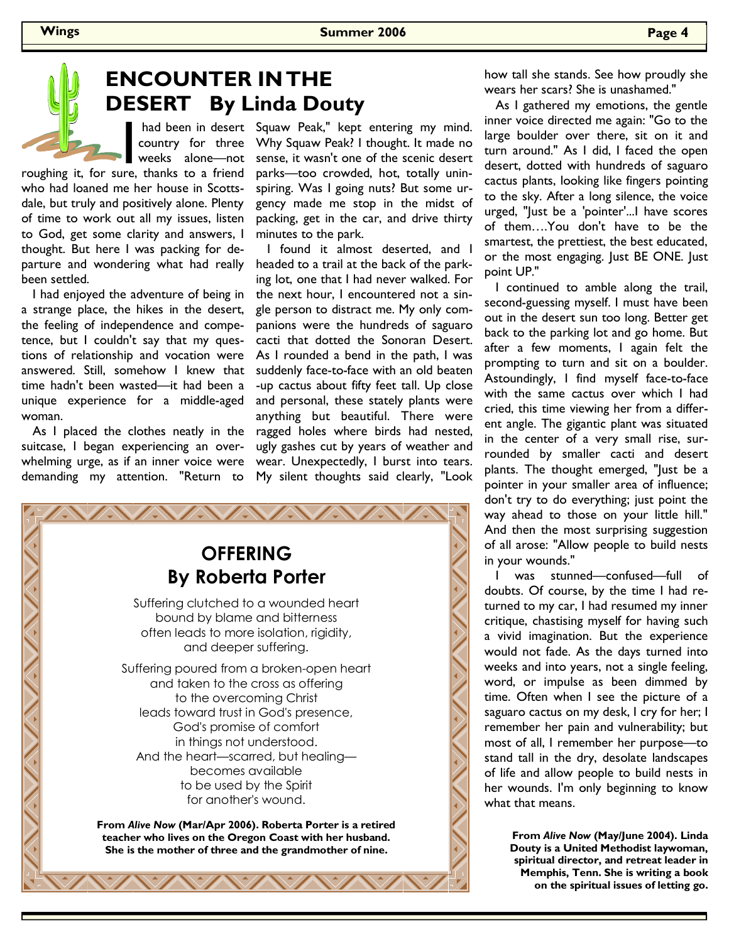**Wings Summer 2006 Page 4** 

# **ENCOUNTER IN THE DESERT By Linda Douty**

had been in desert<br>country for three<br>weeks alone—not<br>ire, thanks to a friend country for three weeks alone—not

roughing it, for sure, thanks to a friend who had loaned me her house in Scottsdale, but truly and positively alone. Plenty of time to work out all my issues, listen to God, get some clarity and answers, I thought. But here I was packing for departure and wondering what had really been settled.

 I had enjoyed the adventure of being in a strange place, the hikes in the desert, the feeling of independence and competence, but I couldn't say that my questions of relationship and vocation were answered. Still, somehow I knew that time hadn't been wasted—it had been a unique experience for a middle-aged woman.

 As I placed the clothes neatly in the suitcase, I began experiencing an overwhelming urge, as if an inner voice were demanding my attention. "Return to

had been in desert Squaw Peak," kept entering my mind. Why Squaw Peak? I thought. It made no sense, it wasn't one of the scenic desert parks—too crowded, hot, totally uninspiring. Was I going nuts? But some urgency made me stop in the midst of packing, get in the car, and drive thirty minutes to the park.

> I found it almost deserted, and I headed to a trail at the back of the parking lot, one that I had never walked. For the next hour, I encountered not a single person to distract me. My only companions were the hundreds of saguaro cacti that dotted the Sonoran Desert. As I rounded a bend in the path, I was suddenly face-to-face with an old beaten -up cactus about fifty feet tall. Up close and personal, these stately plants were anything but beautiful. There were ragged holes where birds had nested, ugly gashes cut by years of weather and wear. Unexpectedly, I burst into tears. My silent thoughts said clearly, "Look



how tall she stands. See how proudly she wears her scars? She is unashamed."

 As I gathered my emotions, the gentle inner voice directed me again: "Go to the large boulder over there, sit on it and turn around." As I did, I faced the open desert, dotted with hundreds of saguaro cactus plants, looking like fingers pointing to the sky. After a long silence, the voice urged, "Just be a 'pointer'...I have scores of them….You don't have to be the smartest, the prettiest, the best educated, or the most engaging. Just BE ONE. Just point UP."

 I continued to amble along the trail, second-guessing myself. I must have been out in the desert sun too long. Better get back to the parking lot and go home. But after a few moments, I again felt the prompting to turn and sit on a boulder. Astoundingly, I find myself face-to-face with the same cactus over which I had cried, this time viewing her from a different angle. The gigantic plant was situated in the center of a very small rise, surrounded by smaller cacti and desert plants. The thought emerged, "Just be a pointer in your smaller area of influence; don't try to do everything; just point the way ahead to those on your little hill." And then the most surprising suggestion of all arose: "Allow people to build nests in your wounds."

 I was stunned—confused—full of doubts. Of course, by the time I had returned to my car, I had resumed my inner critique, chastising myself for having such a vivid imagination. But the experience would not fade. As the days turned into weeks and into years, not a single feeling, word, or impulse as been dimmed by time. Often when I see the picture of a saguaro cactus on my desk, I cry for her; I remember her pain and vulnerability; but most of all, I remember her purpose—to stand tall in the dry, desolate landscapes of life and allow people to build nests in her wounds. I'm only beginning to know what that means.

> **From** *Alive Now* **(May/June 2004). Linda Douty is a United Methodist laywoman, spiritual director, and retreat leader in Memphis, Tenn. She is writing a book on the spiritual issues of letting go.**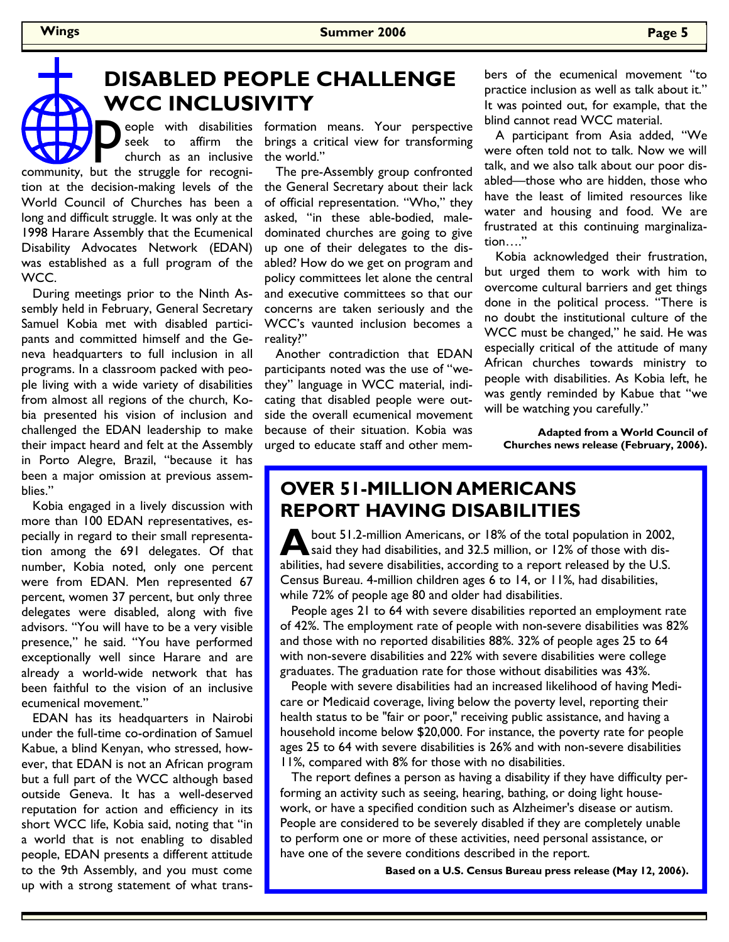#### **DISABLED PEOPLE CHALLENGE WCC INCLUSIVITY**

eople with disabilities seek to affirm the church as an inclusive community, but the struggle for recognition at the decision-making levels of the World Council of Churches has been a long and difficult struggle. It was only at the 1998 Harare Assembly that the Ecumenical Disability Advocates Network (EDAN) was established as a full program of the WCC.

 During meetings prior to the Ninth Assembly held in February, General Secretary Samuel Kobia met with disabled participants and committed himself and the Geneva headquarters to full inclusion in all programs. In a classroom packed with people living with a wide variety of disabilities from almost all regions of the church, Kobia presented his vision of inclusion and challenged the EDAN leadership to make their impact heard and felt at the Assembly in Porto Alegre, Brazil, "because it has been a major omission at previous assemblies."

 Kobia engaged in a lively discussion with more than 100 EDAN representatives, especially in regard to their small representation among the 691 delegates. Of that number, Kobia noted, only one percent were from EDAN. Men represented 67 percent, women 37 percent, but only three delegates were disabled, along with five advisors. "You will have to be a very visible presence," he said. "You have performed exceptionally well since Harare and are already a world-wide network that has been faithful to the vision of an inclusive ecumenical movement."

 EDAN has its headquarters in Nairobi under the full-time co-ordination of Samuel Kabue, a blind Kenyan, who stressed, however, that EDAN is not an African program but a full part of the WCC although based outside Geneva. It has a well-deserved reputation for action and efficiency in its short WCC life, Kobia said, noting that "in a world that is not enabling to disabled people, EDAN presents a different attitude to the 9th Assembly, and you must come up with a strong statement of what trans-

formation means. Your perspective brings a critical view for transforming the world."

 The pre-Assembly group confronted the General Secretary about their lack of official representation. "Who," they asked, "in these able-bodied, maledominated churches are going to give up one of their delegates to the disabled? How do we get on program and policy committees let alone the central and executive committees so that our concerns are taken seriously and the WCC's vaunted inclusion becomes a reality?"

 Another contradiction that EDAN participants noted was the use of "wethey" language in WCC material, indicating that disabled people were outside the overall ecumenical movement because of their situation. Kobia was urged to educate staff and other members of the ecumenical movement "to practice inclusion as well as talk about it." It was pointed out, for example, that the blind cannot read WCC material.

 A participant from Asia added, "We were often told not to talk. Now we will talk, and we also talk about our poor disabled—those who are hidden, those who have the least of limited resources like water and housing and food. We are frustrated at this continuing marginalization…."

 Kobia acknowledged their frustration, but urged them to work with him to overcome cultural barriers and get things done in the political process. "There is no doubt the institutional culture of the WCC must be changed," he said. He was especially critical of the attitude of many African churches towards ministry to people with disabilities. As Kobia left, he was gently reminded by Kabue that "we will be watching you carefully."

**Adapted from a World Council of Churches news release (February, 2006).** 

#### **OVER 51-MILLION AMERICANS REPORT HAVING DISABILITIES**

**A** bout 51.2-million Americans, or 18% of the total population in 2002, said they had disabilities, and 32.5 million, or 12% of those with disabilities, had severe disabilities, according to a report released by the U.S. Census Bureau. 4-million children ages 6 to 14, or 11%, had disabilities, while 72% of people age 80 and older had disabilities.

 People ages 21 to 64 with severe disabilities reported an employment rate of 42%. The employment rate of people with non-severe disabilities was 82% and those with no reported disabilities 88%. 32% of people ages 25 to 64 with non-severe disabilities and 22% with severe disabilities were college graduates. The graduation rate for those without disabilities was 43%.

 People with severe disabilities had an increased likelihood of having Medicare or Medicaid coverage, living below the poverty level, reporting their health status to be "fair or poor," receiving public assistance, and having a household income below \$20,000. For instance, the poverty rate for people ages 25 to 64 with severe disabilities is 26% and with non-severe disabilities 11%, compared with 8% for those with no disabilities.

 The report defines a person as having a disability if they have difficulty performing an activity such as seeing, hearing, bathing, or doing light housework, or have a specified condition such as Alzheimer's disease or autism. People are considered to be severely disabled if they are completely unable to perform one or more of these activities, need personal assistance, or have one of the severe conditions described in the report.

 **Based on a U.S. Census Bureau press release (May 12, 2006).**